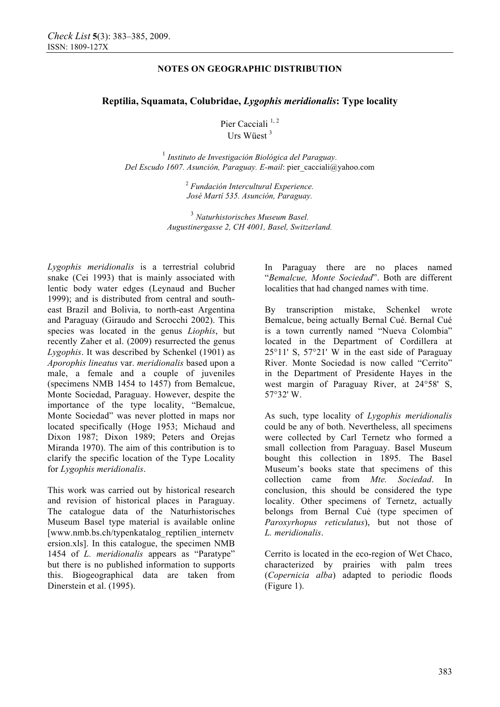# **NOTES ON GEOGRAPHIC DISTRIBUTION**

# **Reptilia, Squamata, Colubridae,** *Lygophis meridionalis***: Type locality**

Pier Cacciali<sup>1,2</sup> Urs Wüest <sup>3</sup>

<sup>1</sup> *Instituto de Investigación Biológica del Paraguay. Del Escudo 1607. Asunción, Paraguay. E-mail*: pier\_cacciali@yahoo.com

> 2  *Fundación Intercultural Experience. José Martí 535. Asunción, Paraguay.*

<sup>3</sup> *Naturhistorisches Museum Basel. Augustinergasse 2, CH 4001, Basel, Switzerland.* 

*Lygophis meridionalis* is a terrestrial colubrid snake (Cei 1993) that is mainly associated with lentic body water edges (Leynaud and Bucher 1999); and is distributed from central and southeast Brazil and Bolivia, to north-east Argentina and Paraguay (Giraudo and Scrocchi 2002). This species was located in the genus *Liophis*, but recently Zaher et al. (2009) resurrected the genus *Lygophis*. It was described by Schenkel (1901) as *Aporophis lineatus* var. *meridionalis* based upon a male, a female and a couple of juveniles (specimens NMB 1454 to 1457) from Bemalcue, Monte Sociedad, Paraguay. However, despite the importance of the type locality, "Bemalcue, Monte Sociedad" was never plotted in maps nor located specifically (Hoge 1953; Michaud and Dixon 1987; Dixon 1989; Peters and Orejas Miranda 1970). The aim of this contribution is to clarify the specific location of the Type Locality for *Lygophis meridionalis*.

This work was carried out by historical research and revision of historical places in Paraguay. The catalogue data of the Naturhistorisches Museum Basel type material is available online [www.nmb.bs.ch/typenkatalog\_reptilien\_internetv ersion.xls]. In this catalogue, the specimen NMB 1454 of *L. meridionalis* appears as "Paratype" but there is no published information to supports this. Biogeographical data are taken from Dinerstein et al. (1995).

In Paraguay there are no places named "*Bemalcue, Monte Sociedad*". Both are different localities that had changed names with time.

By transcription mistake, Schenkel wrote Bemalcue, being actually Bernal Cué. Bernal Cué is a town currently named "Nueva Colombia" located in the Department of Cordillera at 25°11' S, 57°21' W in the east side of Paraguay River. Monte Sociedad is now called "Cerrito" in the Department of Presidente Hayes in the west margin of Paraguay River, at 24°58' S, 57°32' W.

As such, type locality of *Lygophis meridionalis* could be any of both. Nevertheless, all specimens were collected by Carl Ternetz who formed a small collection from Paraguay. Basel Museum bought this collection in 1895. The Basel Museum's books state that specimens of this collection came from *Mte. Sociedad*. In conclusion, this should be considered the type locality. Other specimens of Ternetz, actually belongs from Bernal Cué (type specimen of *Paroxyrhopus reticulatus*), but not those of *L. meridionalis*.

Cerrito is located in the eco-region of Wet Chaco, characterized by prairies with palm trees (*Copernicia alba*) adapted to periodic floods (Figure 1).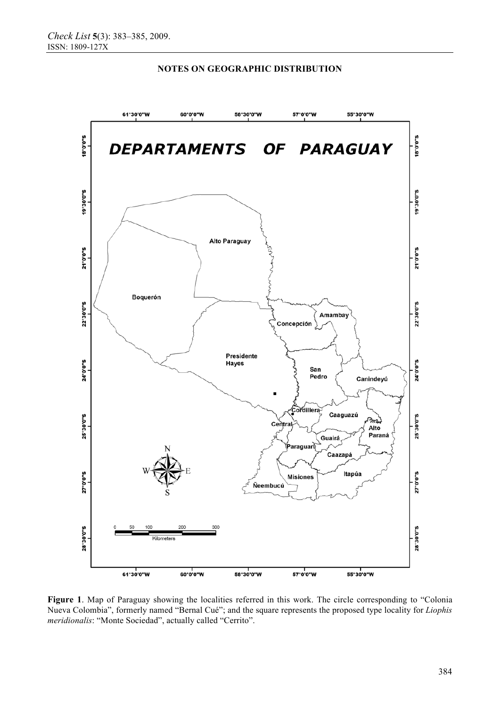

### **NOTES ON GEOGRAPHIC DISTRIBUTION**

**Figure 1**. Map of Paraguay showing the localities referred in this work. The circle corresponding to "Colonia Nueva Colombia", formerly named "Bernal Cué"; and the square represents the proposed type locality for *Liophis meridionalis*: "Monte Sociedad", actually called "Cerrito".